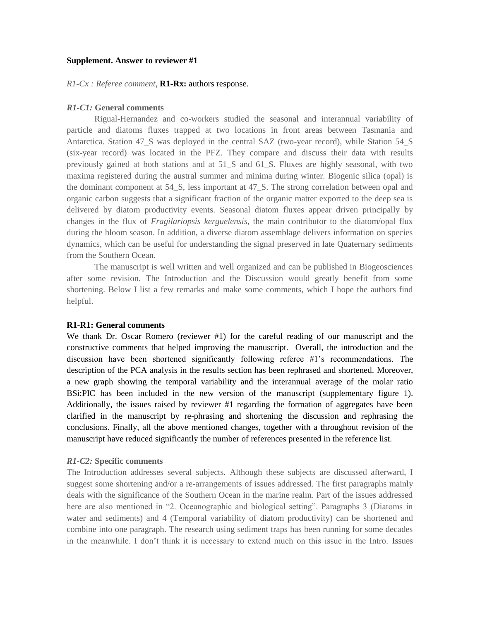#### **Supplement. Answer to reviewer #1**

#### *R1-Cx : Referee comment*, **R1-Rx:** authors response.

### *R1-C1:* **General comments**

Rigual-Hernandez and co-workers studied the seasonal and interannual variability of particle and diatoms fluxes trapped at two locations in front areas between Tasmania and Antarctica. Station 47\_S was deployed in the central SAZ (two-year record), while Station 54\_S (six-year record) was located in the PFZ. They compare and discuss their data with results previously gained at both stations and at 51\_S and 61\_S. Fluxes are highly seasonal, with two maxima registered during the austral summer and minima during winter. Biogenic silica (opal) is the dominant component at 54\_S, less important at 47\_S. The strong correlation between opal and organic carbon suggests that a significant fraction of the organic matter exported to the deep sea is delivered by diatom productivity events. Seasonal diatom fluxes appear driven principally by changes in the flux of *Fragilariopsis kerguelensis*, the main contributor to the diatom/opal flux during the bloom season. In addition, a diverse diatom assemblage delivers information on species dynamics, which can be useful for understanding the signal preserved in late Quaternary sediments from the Southern Ocean.

The manuscript is well written and well organized and can be published in Biogeosciences after some revision. The Introduction and the Discussion would greatly benefit from some shortening. Below I list a few remarks and make some comments, which I hope the authors find helpful.

#### **R1-R1: General comments**

We thank Dr. Oscar Romero (reviewer #1) for the careful reading of our manuscript and the constructive comments that helped improving the manuscript. Overall, the introduction and the discussion have been shortened significantly following referee #1's recommendations. The description of the PCA analysis in the results section has been rephrased and shortened. Moreover, a new graph showing the temporal variability and the interannual average of the molar ratio BSi:PIC has been included in the new version of the manuscript (supplementary figure 1). Additionally, the issues raised by reviewer #1 regarding the formation of aggregates have been clarified in the manuscript by re-phrasing and shortening the discussion and rephrasing the conclusions. Finally, all the above mentioned changes, together with a throughout revision of the manuscript have reduced significantly the number of references presented in the reference list.

#### *R1-C2:* **Specific comments**

The Introduction addresses several subjects. Although these subjects are discussed afterward, I suggest some shortening and/or a re-arrangements of issues addressed. The first paragraphs mainly deals with the significance of the Southern Ocean in the marine realm. Part of the issues addressed here are also mentioned in "2. Oceanographic and biological setting". Paragraphs 3 (Diatoms in water and sediments) and 4 (Temporal variability of diatom productivity) can be shortened and combine into one paragraph. The research using sediment traps has been running for some decades in the meanwhile. I don't think it is necessary to extend much on this issue in the Intro. Issues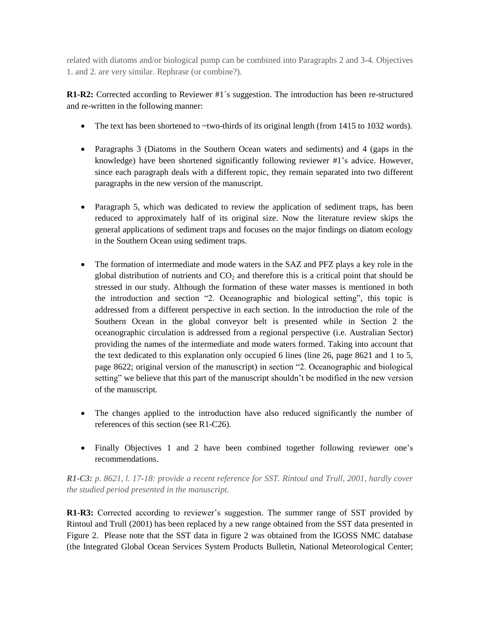related with diatoms and/or biological pump can be combined into Paragraphs 2 and 3-4. Objectives 1. and 2. are very similar. Rephrase (or combine?).

**R1-R2:** Corrected according to Reviewer #1´s suggestion. The introduction has been re-structured and re-written in the following manner:

- The text has been shortened to  $\sim$ two-thirds of its original length (from 1415 to 1032 words).
- Paragraphs 3 (Diatoms in the Southern Ocean waters and sediments) and 4 (gaps in the knowledge) have been shortened significantly following reviewer #1's advice. However, since each paragraph deals with a different topic, they remain separated into two different paragraphs in the new version of the manuscript.
- Paragraph 5, which was dedicated to review the application of sediment traps, has been reduced to approximately half of its original size. Now the literature review skips the general applications of sediment traps and focuses on the major findings on diatom ecology in the Southern Ocean using sediment traps.
- The formation of intermediate and mode waters in the SAZ and PFZ plays a key role in the global distribution of nutrients and  $CO<sub>2</sub>$  and therefore this is a critical point that should be stressed in our study. Although the formation of these water masses is mentioned in both the introduction and section "2. Oceanographic and biological setting", this topic is addressed from a different perspective in each section. In the introduction the role of the Southern Ocean in the global conveyor belt is presented while in Section 2 the oceanographic circulation is addressed from a regional perspective (i.e. Australian Sector) providing the names of the intermediate and mode waters formed. Taking into account that the text dedicated to this explanation only occupied 6 lines (line 26, page 8621 and 1 to 5, page 8622; original version of the manuscript) in section "2. Oceanographic and biological setting" we believe that this part of the manuscript shouldn't be modified in the new version of the manuscript.
- The changes applied to the introduction have also reduced significantly the number of references of this section (see R1-C26).
- Finally Objectives 1 and 2 have been combined together following reviewer one's recommendations.

*R1-C3: p. 8621, l. 17-18: provide a recent reference for SST. Rintoul and Trull, 2001, hardly cover the studied period presented in the manuscript.*

**R1-R3:** Corrected according to reviewer's suggestion. The summer range of SST provided by Rintoul and Trull (2001) has been replaced by a new range obtained from the SST data presented in Figure 2. Please note that the SST data in figure 2 was obtained from the IGOSS NMC database (the Integrated Global Ocean Services System Products Bulletin, National Meteorological Center;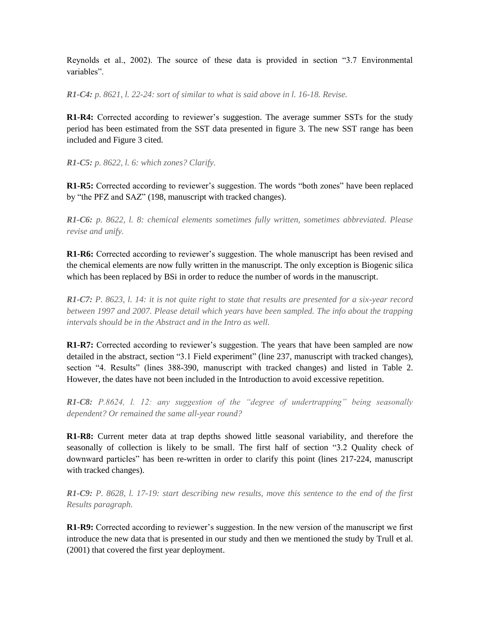Reynolds et al., 2002). The source of these data is provided in section "3.7 Environmental variables".

*R1-C4: p. 8621, l. 22-24: sort of similar to what is said above in l. 16-18. Revise.* 

**R1-R4:** Corrected according to reviewer's suggestion. The average summer SSTs for the study period has been estimated from the SST data presented in figure 3. The new SST range has been included and Figure 3 cited.

*R1-C5: p. 8622, l. 6: which zones? Clarify.*

**R1-R5:** Corrected according to reviewer's suggestion. The words "both zones" have been replaced by "the PFZ and SAZ" (198, manuscript with tracked changes).

*R1-C6: p. 8622, l. 8: chemical elements sometimes fully written, sometimes abbreviated. Please revise and unify.* 

**R1-R6:** Corrected according to reviewer's suggestion. The whole manuscript has been revised and the chemical elements are now fully written in the manuscript. The only exception is Biogenic silica which has been replaced by BSi in order to reduce the number of words in the manuscript.

*R1-C7: P. 8623, l. 14: it is not quite right to state that results are presented for a six-year record between 1997 and 2007. Please detail which years have been sampled. The info about the trapping intervals should be in the Abstract and in the Intro as well.* 

**R1-R7:** Corrected according to reviewer's suggestion. The years that have been sampled are now detailed in the abstract, section "3.1 Field experiment" (line 237, manuscript with tracked changes), section "4. Results" (lines 388-390, manuscript with tracked changes) and listed in Table 2. However, the dates have not been included in the Introduction to avoid excessive repetition.

*R1-C8: P.8624, l. 12: any suggestion of the "degree of undertrapping" being seasonally dependent? Or remained the same all-year round?*

**R1-R8:** Current meter data at trap depths showed little seasonal variability, and therefore the seasonally of collection is likely to be small. The first half of section "3.2 Quality check of downward particles" has been re-written in order to clarify this point (lines 217-224, manuscript with tracked changes).

*R1-C9: P. 8628, l. 17-19: start describing new results, move this sentence to the end of the first Results paragraph.*

**R1-R9:** Corrected according to reviewer's suggestion. In the new version of the manuscript we first introduce the new data that is presented in our study and then we mentioned the study by Trull et al. (2001) that covered the first year deployment.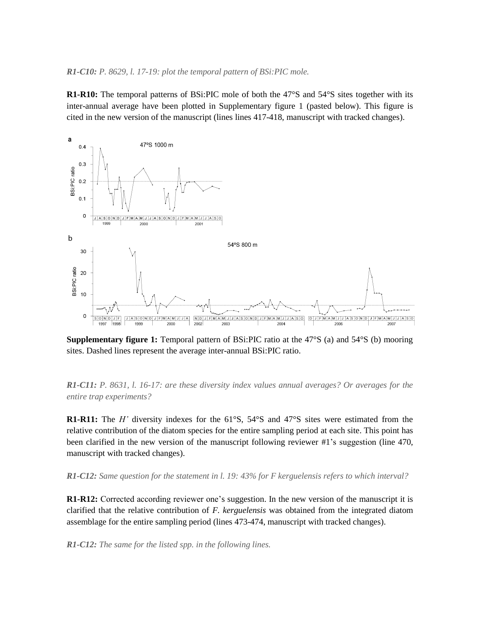### *R1-C10: P. 8629, l. 17-19: plot the temporal pattern of BSi:PIC mole.*

**R1-R10:** The temporal patterns of BSi:PIC mole of both the 47°S and 54°S sites together with its inter-annual average have been plotted in Supplementary figure 1 (pasted below). This figure is cited in the new version of the manuscript (lines lines 417-418, manuscript with tracked changes).



**Supplementary figure 1:** Temporal pattern of BSi:PIC ratio at the 47°S (a) and 54°S (b) mooring sites. Dashed lines represent the average inter-annual BSi:PIC ratio.

*R1-C11: P. 8631, l. 16-17: are these diversity index values annual averages? Or averages for the entire trap experiments?*

**R1-R11:** The *H'* diversity indexes for the 61°S, 54°S and 47°S sites were estimated from the relative contribution of the diatom species for the entire sampling period at each site. This point has been clarified in the new version of the manuscript following reviewer #1's suggestion (line 470, manuscript with tracked changes).

*R1-C12: Same question for the statement in l. 19: 43% for F kerguelensis refers to which interval?*

**R1-R12:** Corrected according reviewer one's suggestion. In the new version of the manuscript it is clarified that the relative contribution of *F. kerguelensis* was obtained from the integrated diatom assemblage for the entire sampling period (lines 473-474, manuscript with tracked changes).

*R1-C12: The same for the listed spp. in the following lines.*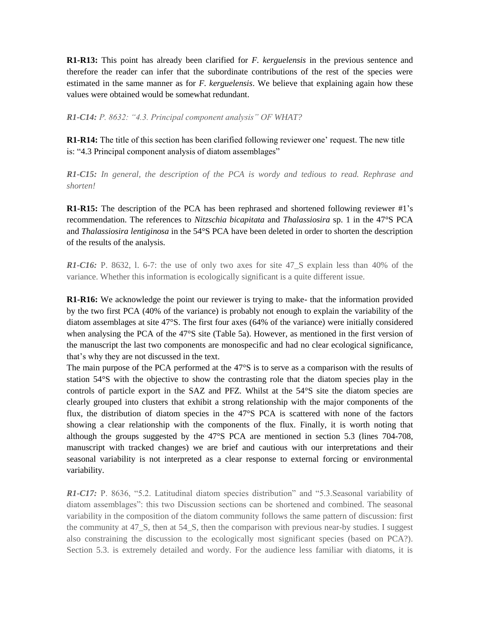**R1-R13:** This point has already been clarified for *F. kerguelensis* in the previous sentence and therefore the reader can infer that the subordinate contributions of the rest of the species were estimated in the same manner as for *F. kerguelensis*. We believe that explaining again how these values were obtained would be somewhat redundant.

*R1-C14: P. 8632: "4.3. Principal component analysis" OF WHAT?*

**R1-R14:** The title of this section has been clarified following reviewer one' request. The new title is: "4.3 Principal component analysis of diatom assemblages"

*R1-C15: In general, the description of the PCA is wordy and tedious to read. Rephrase and shorten!*

**R1-R15:** The description of the PCA has been rephrased and shortened following reviewer #1's recommendation. The references to *Nitzschia bicapitata* and *Thalassiosira* sp. 1 in the 47°S PCA and *Thalassiosira lentiginosa* in the 54°S PCA have been deleted in order to shorten the description of the results of the analysis.

*R1-C16:* P. 8632, 1. 6-7: the use of only two axes for site 47 S explain less than 40% of the variance. Whether this information is ecologically significant is a quite different issue.

**R1-R16:** We acknowledge the point our reviewer is trying to make- that the information provided by the two first PCA (40% of the variance) is probably not enough to explain the variability of the diatom assemblages at site 47°S. The first four axes (64% of the variance) were initially considered when analysing the PCA of the 47°S site (Table 5a). However, as mentioned in the first version of the manuscript the last two components are monospecific and had no clear ecological significance, that's why they are not discussed in the text.

The main purpose of the PCA performed at the 47°S is to serve as a comparison with the results of station 54°S with the objective to show the contrasting role that the diatom species play in the controls of particle export in the SAZ and PFZ. Whilst at the 54°S site the diatom species are clearly grouped into clusters that exhibit a strong relationship with the major components of the flux, the distribution of diatom species in the 47°S PCA is scattered with none of the factors showing a clear relationship with the components of the flux. Finally, it is worth noting that although the groups suggested by the 47°S PCA are mentioned in section 5.3 (lines 704-708, manuscript with tracked changes) we are brief and cautious with our interpretations and their seasonal variability is not interpreted as a clear response to external forcing or environmental variability.

*R1-C17:* P. 8636, "5.2. Latitudinal diatom species distribution" and "5.3.Seasonal variability of diatom assemblages": this two Discussion sections can be shortened and combined. The seasonal variability in the composition of the diatom community follows the same pattern of discussion: first the community at 47\_S, then at 54\_S, then the comparison with previous near-by studies. I suggest also constraining the discussion to the ecologically most significant species (based on PCA?). Section 5.3. is extremely detailed and wordy. For the audience less familiar with diatoms, it is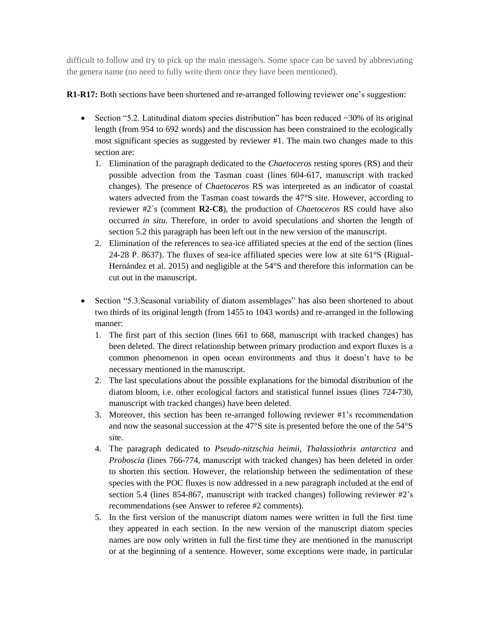difficult to follow and try to pick up the main message/s. Some space can be saved by abbreviating the genera name (no need to fully write them once they have been mentioned).

# **R1-R17:** Both sections have been shortened and re-arranged following reviewer one's suggestion:

- Section "5.2. Latitudinal diatom species distribution" has been reduced  $\sim$ 30% of its original length (from 954 to 692 words) and the discussion has been constrained to the ecologically most significant species as suggested by reviewer #1. The main two changes made to this section are:
	- 1. Elimination of the paragraph dedicated to the *Chaetoceros* resting spores (RS) and their possible advection from the Tasman coast (lines 604-617, manuscript with tracked changes). The presence of *Chaetoceros* RS was interpreted as an indicator of coastal waters advected from the Tasman coast towards the 47°S site. However, according to reviewer #2´s (comment **R2-C8**), the production of *Chaetoceros* RS could have also occurred *in situ*. Therefore, in order to avoid speculations and shorten the length of section 5.2 this paragraph has been left out in the new version of the manuscript.
	- 2. Elimination of the references to sea-ice affiliated species at the end of the section (lines 24-28 P. 8637). The fluxes of sea-ice affiliated species were low at site 61°S (Rigual-Hernández et al. 2015) and negligible at the 54°S and therefore this information can be cut out in the manuscript.
- Section "5.3.Seasonal variability of diatom assemblages" has also been shortened to about two thirds of its original length (from 1455 to 1043 words) and re-arranged in the following manner:
	- 1. The first part of this section (lines 661 to 668, manuscript with tracked changes) has been deleted. The direct relationship between primary production and export fluxes is a common phenomenon in open ocean environments and thus it doesn't have to be necessary mentioned in the manuscript.
	- 2. The last speculations about the possible explanations for the bimodal distribution of the diatom bloom, i.e. other ecological factors and statistical funnel issues (lines 724-730, manuscript with tracked changes) have been deleted.
	- 3. Moreover, this section has been re-arranged following reviewer #1's recommendation and now the seasonal succession at the 47°S site is presented before the one of the 54°S site.
	- 4. The paragraph dedicated to *Pseudo-nitzschia heimii*, *Thalassiothrix antarctica* and *Proboscia* (lines 766-774, manuscript with tracked changes) has been deleted in order to shorten this section. However, the relationship between the sedimentation of these species with the POC fluxes is now addressed in a new paragraph included at the end of section 5.4 (lines 854-867, manuscript with tracked changes) following reviewer #2's recommendations (see Answer to referee #2 comments).
	- 5. In the first version of the manuscript diatom names were written in full the first time they appeared in each section. In the new version of the manuscript diatom species names are now only written in full the first time they are mentioned in the manuscript or at the beginning of a sentence. However, some exceptions were made, in particular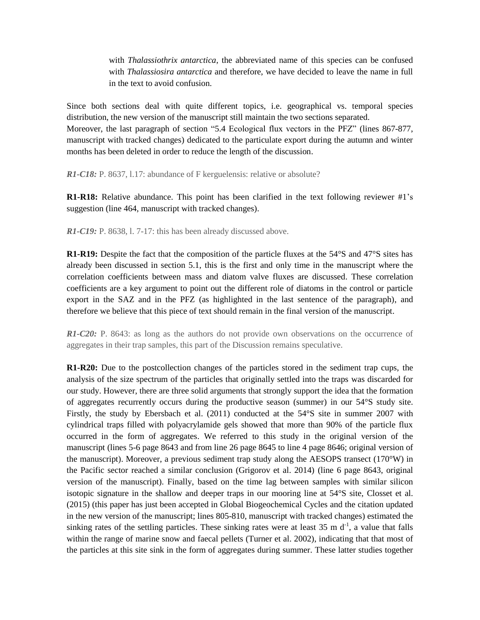with *Thalassiothrix antarctica*, the abbreviated name of this species can be confused with *Thalassiosira antarctica* and therefore, we have decided to leave the name in full in the text to avoid confusion.

Since both sections deal with quite different topics, i.e. geographical vs. temporal species distribution, the new version of the manuscript still maintain the two sections separated. Moreover, the last paragraph of section "5.4 Ecological flux vectors in the PFZ" (lines 867-877, manuscript with tracked changes) dedicated to the particulate export during the autumn and winter months has been deleted in order to reduce the length of the discussion.

*R1-C18:* P. 8637, l.17: abundance of F kerguelensis: relative or absolute?

**R1-R18:** Relative abundance. This point has been clarified in the text following reviewer #1's suggestion (line 464, manuscript with tracked changes).

*R1-C19:* P. 8638, l. 7-17: this has been already discussed above.

**R1-R19:** Despite the fact that the composition of the particle fluxes at the 54°S and 47°S sites has already been discussed in section 5.1, this is the first and only time in the manuscript where the correlation coefficients between mass and diatom valve fluxes are discussed. These correlation coefficients are a key argument to point out the different role of diatoms in the control or particle export in the SAZ and in the PFZ (as highlighted in the last sentence of the paragraph), and therefore we believe that this piece of text should remain in the final version of the manuscript.

*R1-C20:* P. 8643: as long as the authors do not provide own observations on the occurrence of aggregates in their trap samples, this part of the Discussion remains speculative.

**R1-R20:** Due to the postcollection changes of the particles stored in the sediment trap cups, the analysis of the size spectrum of the particles that originally settled into the traps was discarded for our study. However, there are three solid arguments that strongly support the idea that the formation of aggregates recurrently occurs during the productive season (summer) in our 54°S study site. Firstly, the study by Ebersbach et al. (2011) conducted at the 54°S site in summer 2007 with cylindrical traps filled with polyacrylamide gels showed that more than 90% of the particle flux occurred in the form of aggregates. We referred to this study in the original version of the manuscript (lines 5-6 page 8643 and from line 26 page 8645 to line 4 page 8646; original version of the manuscript). Moreover, a previous sediment trap study along the AESOPS transect  $(170°W)$  in the Pacific sector reached a similar conclusion (Grigorov et al. 2014) (line 6 page 8643, original version of the manuscript). Finally, based on the time lag between samples with similar silicon isotopic signature in the shallow and deeper traps in our mooring line at 54°S site, Closset et al. (2015) (this paper has just been accepted in Global Biogeochemical Cycles and the citation updated in the new version of the manuscript; lines 805-810, manuscript with tracked changes) estimated the sinking rates of the settling particles. These sinking rates were at least  $35 \text{ m d}^{-1}$ , a value that falls within the range of marine snow and faecal pellets (Turner et al. 2002), indicating that that most of the particles at this site sink in the form of aggregates during summer. These latter studies together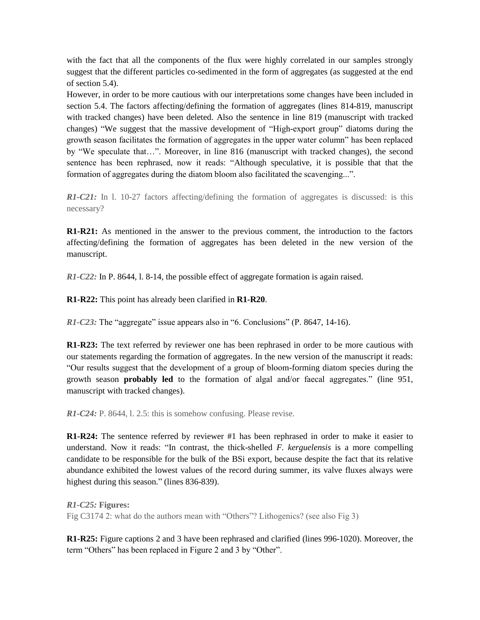with the fact that all the components of the flux were highly correlated in our samples strongly suggest that the different particles co-sedimented in the form of aggregates (as suggested at the end of section 5.4).

However, in order to be more cautious with our interpretations some changes have been included in section 5.4. The factors affecting/defining the formation of aggregates (lines 814-819, manuscript with tracked changes) have been deleted. Also the sentence in line 819 (manuscript with tracked changes) "We suggest that the massive development of "High-export group" diatoms during the growth season facilitates the formation of aggregates in the upper water column" has been replaced by "We speculate that…". Moreover, in line 816 (manuscript with tracked changes), the second sentence has been rephrased, now it reads: "Although speculative, it is possible that that the formation of aggregates during the diatom bloom also facilitated the scavenging...".

*R1-C21:* In l. 10-27 factors affecting/defining the formation of aggregates is discussed: is this necessary?

**R1-R21:** As mentioned in the answer to the previous comment, the introduction to the factors affecting/defining the formation of aggregates has been deleted in the new version of the manuscript.

*R1-C22:* In P. 8644, l. 8-14, the possible effect of aggregate formation is again raised.

**R1-R22:** This point has already been clarified in **R1-R20**.

*R1-C23:* The "aggregate" issue appears also in "6. Conclusions" (P. 8647, 14-16).

**R1-R23:** The text referred by reviewer one has been rephrased in order to be more cautious with our statements regarding the formation of aggregates. In the new version of the manuscript it reads: "Our results suggest that the development of a group of bloom-forming diatom species during the growth season **probably led** to the formation of algal and/or faecal aggregates." (line 951, manuscript with tracked changes).

*R1-C24:* P. 8644, l. 2.5: this is somehow confusing. Please revise.

**R1-R24:** The sentence referred by reviewer #1 has been rephrased in order to make it easier to understand. Now it reads: "In contrast, the thick-shelled *F. kerguelensis* is a more compelling candidate to be responsible for the bulk of the BSi export, because despite the fact that its relative abundance exhibited the lowest values of the record during summer, its valve fluxes always were highest during this season." (lines 836-839).

*R1-C25:* **Figures:**  Fig C3174 2: what do the authors mean with "Others"? Lithogenics? (see also Fig 3)

**R1-R25:** Figure captions 2 and 3 have been rephrased and clarified (lines 996-1020). Moreover, the term "Others" has been replaced in Figure 2 and 3 by "Other".